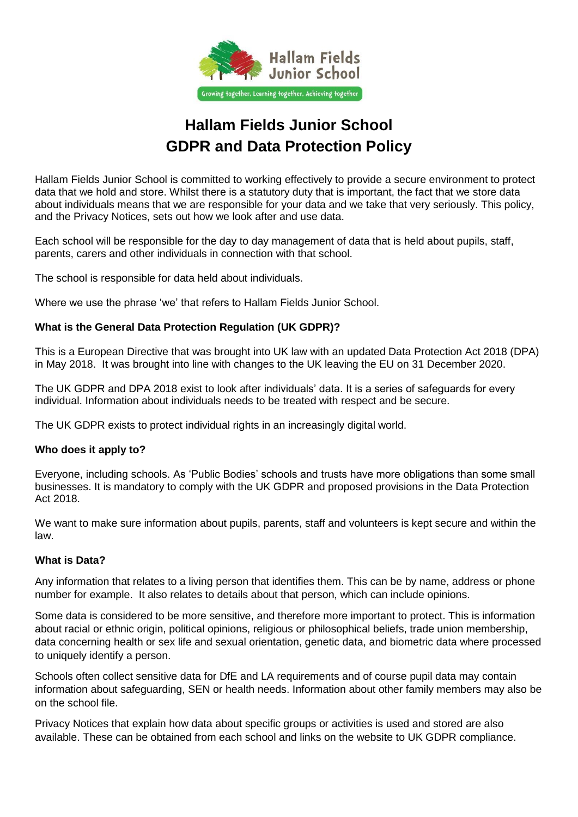

## **Hallam Fields Junior School GDPR and Data Protection Policy**

Hallam Fields Junior School is committed to working effectively to provide a secure environment to protect data that we hold and store. Whilst there is a statutory duty that is important, the fact that we store data about individuals means that we are responsible for your data and we take that very seriously. This policy, and the Privacy Notices, sets out how we look after and use data.

Each school will be responsible for the day to day management of data that is held about pupils, staff, parents, carers and other individuals in connection with that school.

The school is responsible for data held about individuals.

Where we use the phrase 'we' that refers to Hallam Fields Junior School.

## **What is the General Data Protection Regulation (UK GDPR)?**

This is a European Directive that was brought into UK law with an updated Data Protection Act 2018 (DPA) in May 2018. It was brought into line with changes to the UK leaving the EU on 31 December 2020.

The UK GDPR and DPA 2018 exist to look after individuals' data. It is a series of safeguards for every individual. Information about individuals needs to be treated with respect and be secure.

The UK GDPR exists to protect individual rights in an increasingly digital world.

#### **Who does it apply to?**

Everyone, including schools. As 'Public Bodies' schools and trusts have more obligations than some small businesses. It is mandatory to comply with the UK GDPR and proposed provisions in the Data Protection Act 2018.

We want to make sure information about pupils, parents, staff and volunteers is kept secure and within the law.

## **What is Data?**

Any information that relates to a living person that identifies them. This can be by name, address or phone number for example. It also relates to details about that person, which can include opinions.

Some data is considered to be more sensitive, and therefore more important to protect. This is information about racial or ethnic origin, political opinions, religious or philosophical beliefs, trade union membership, data concerning health or sex life and sexual orientation, genetic data, and biometric data where processed to uniquely identify a person.

Schools often collect sensitive data for DfE and LA requirements and of course pupil data may contain information about safeguarding, SEN or health needs. Information about other family members may also be on the school file.

Privacy Notices that explain how data about specific groups or activities is used and stored are also available. These can be obtained from each school and links on the website to UK GDPR compliance.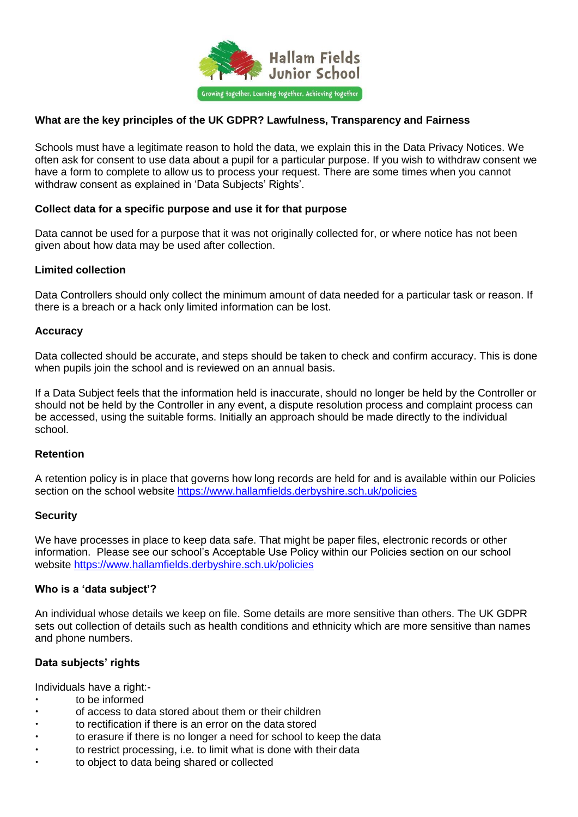

## **What are the key principles of the UK GDPR? Lawfulness, Transparency and Fairness**

Schools must have a legitimate reason to hold the data, we explain this in the Data Privacy Notices. We often ask for consent to use data about a pupil for a particular purpose. If you wish to withdraw consent we have a form to complete to allow us to process your request. There are some times when you cannot withdraw consent as explained in 'Data Subjects' Rights'.

## **Collect data for a specific purpose and use it for that purpose**

Data cannot be used for a purpose that it was not originally collected for, or where notice has not been given about how data may be used after collection.

## **Limited collection**

Data Controllers should only collect the minimum amount of data needed for a particular task or reason. If there is a breach or a hack only limited information can be lost.

## **Accuracy**

Data collected should be accurate, and steps should be taken to check and confirm accuracy. This is done when pupils join the school and is reviewed on an annual basis.

If a Data Subject feels that the information held is inaccurate, should no longer be held by the Controller or should not be held by the Controller in any event, a dispute resolution process and complaint process can be accessed, using the suitable forms. Initially an approach should be made directly to the individual school.

## **Retention**

A retention policy is in place that governs how long records are held for and is available within our Policies section on the school website<https://www.hallamfields.derbyshire.sch.uk/policies>

#### **Security**

We have processes in place to keep data safe. That might be paper files, electronic records or other information. Please see our school's Acceptable Use Policy within our Policies section on our school website<https://www.hallamfields.derbyshire.sch.uk/policies>

#### **Who is a 'data subject'?**

An individual whose details we keep on file. Some details are more sensitive than others. The UK GDPR sets out collection of details such as health conditions and ethnicity which are more sensitive than names and phone numbers.

## **Data subjects' rights**

Individuals have a right:-

- to be informed
- of access to data stored about them or their children
- to rectification if there is an error on the data stored
- to erasure if there is no longer a need for school to keep the data
- to restrict processing, i.e. to limit what is done with their data
- to object to data being shared or collected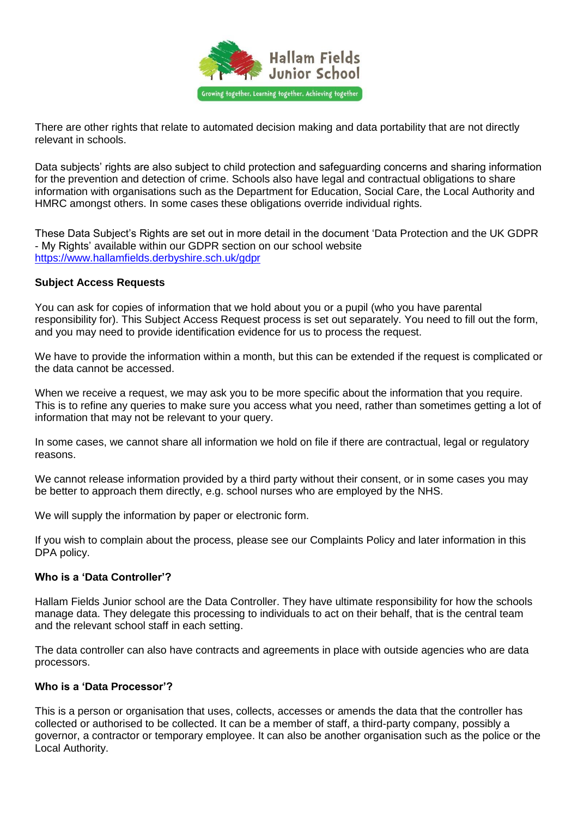

There are other rights that relate to automated decision making and data portability that are not directly relevant in schools.

Data subjects' rights are also subject to child protection and safeguarding concerns and sharing information for the prevention and detection of crime. Schools also have legal and contractual obligations to share information with organisations such as the Department for Education, Social Care, the Local Authority and HMRC amongst others. In some cases these obligations override individual rights.

These Data Subject's Rights are set out in more detail in the document 'Data Protection and the UK GDPR - My Rights' available within our GDPR section on our school website <https://www.hallamfields.derbyshire.sch.uk/gdpr>

## **Subject Access Requests**

You can ask for copies of information that we hold about you or a pupil (who you have parental responsibility for). This Subject Access Request process is set out separately. You need to fill out the form, and you may need to provide identification evidence for us to process the request.

We have to provide the information within a month, but this can be extended if the request is complicated or the data cannot be accessed.

When we receive a request, we may ask you to be more specific about the information that you require. This is to refine any queries to make sure you access what you need, rather than sometimes getting a lot of information that may not be relevant to your query.

In some cases, we cannot share all information we hold on file if there are contractual, legal or regulatory reasons.

We cannot release information provided by a third party without their consent, or in some cases you may be better to approach them directly, e.g. school nurses who are employed by the NHS.

We will supply the information by paper or electronic form.

If you wish to complain about the process, please see our Complaints Policy and later information in this DPA policy.

#### **Who is a 'Data Controller'?**

Hallam Fields Junior school are the Data Controller. They have ultimate responsibility for how the schools manage data. They delegate this processing to individuals to act on their behalf, that is the central team and the relevant school staff in each setting.

The data controller can also have contracts and agreements in place with outside agencies who are data processors.

#### **Who is a 'Data Processor'?**

This is a person or organisation that uses, collects, accesses or amends the data that the controller has collected or authorised to be collected. It can be a member of staff, a third-party company, possibly a governor, a contractor or temporary employee. It can also be another organisation such as the police or the Local Authority.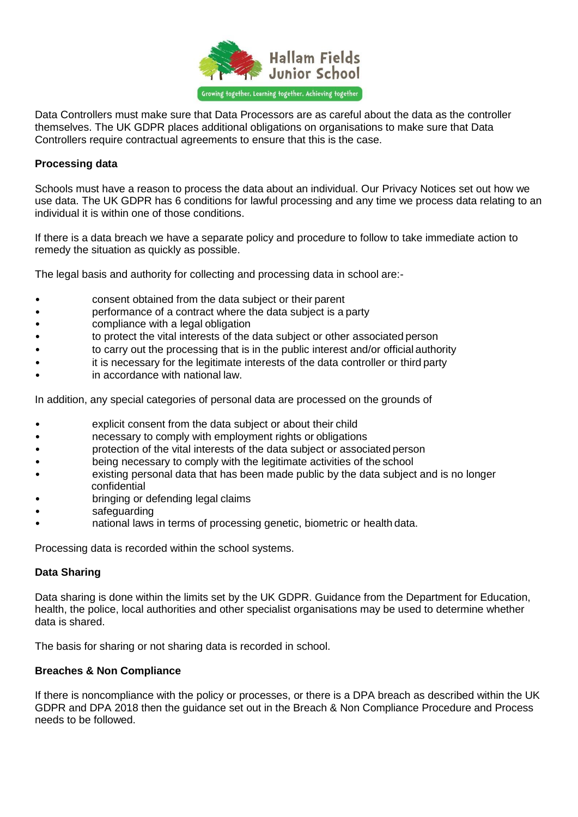

Data Controllers must make sure that Data Processors are as careful about the data as the controller themselves. The UK GDPR places additional obligations on organisations to make sure that Data Controllers require contractual agreements to ensure that this is the case.

## **Processing data**

Schools must have a reason to process the data about an individual. Our Privacy Notices set out how we use data. The UK GDPR has 6 conditions for lawful processing and any time we process data relating to an individual it is within one of those conditions.

If there is a data breach we have a separate policy and procedure to follow to take immediate action to remedy the situation as quickly as possible.

The legal basis and authority for collecting and processing data in school are:-

- consent obtained from the data subject or their parent
- performance of a contract where the data subject is a party
- compliance with a legal obligation
- to protect the vital interests of the data subject or other associated person
- to carry out the processing that is in the public interest and/or official authority
- it is necessary for the legitimate interests of the data controller or third party
- in accordance with national law.

In addition, any special categories of personal data are processed on the grounds of

- explicit consent from the data subject or about their child
- necessary to comply with employment rights or obligations
- protection of the vital interests of the data subject or associated person
- being necessary to comply with the legitimate activities of the school
- existing personal data that has been made public by the data subject and is no longer confidential
- bringing or defending legal claims
- safeguarding
- national laws in terms of processing genetic, biometric or health data.

Processing data is recorded within the school systems.

## **Data Sharing**

Data sharing is done within the limits set by the UK GDPR. Guidance from the Department for Education, health, the police, local authorities and other specialist organisations may be used to determine whether data is shared.

The basis for sharing or not sharing data is recorded in school.

## **Breaches & Non Compliance**

If there is noncompliance with the policy or processes, or there is a DPA breach as described within the UK GDPR and DPA 2018 then the guidance set out in the Breach & Non Compliance Procedure and Process needs to be followed.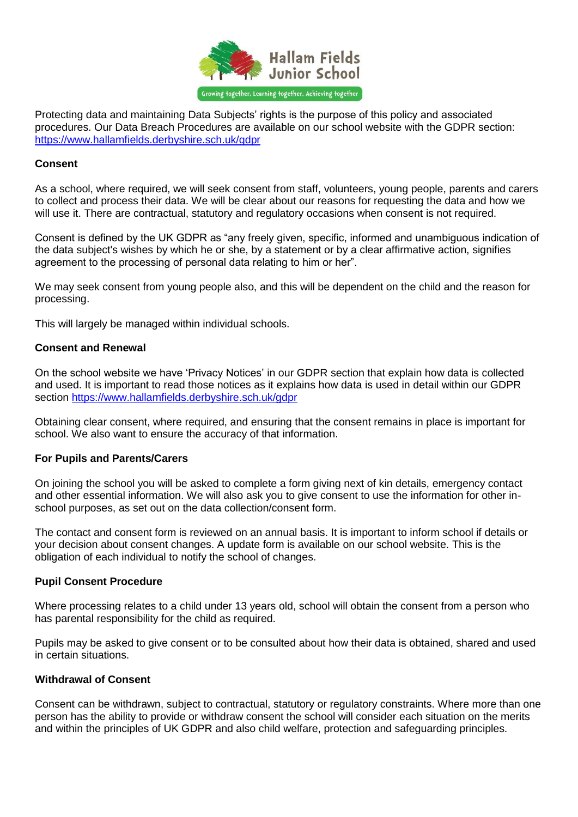

Protecting data and maintaining Data Subjects' rights is the purpose of this policy and associated procedures. Our Data Breach Procedures are available on our school website with the GDPR section: <https://www.hallamfields.derbyshire.sch.uk/gdpr>

## **Consent**

As a school, where required, we will seek consent from staff, volunteers, young people, parents and carers to collect and process their data. We will be clear about our reasons for requesting the data and how we will use it. There are contractual, statutory and regulatory occasions when consent is not required.

Consent is defined by the UK GDPR as "any freely given, specific, informed and unambiguous indication of the data subject's wishes by which he or she, by a statement or by a clear affirmative action, signifies agreement to the processing of personal data relating to him or her".

We may seek consent from young people also, and this will be dependent on the child and the reason for processing.

This will largely be managed within individual schools.

## **Consent and Renewal**

On the school website we have 'Privacy Notices' in our GDPR section that explain how data is collected and used. It is important to read those notices as it explains how data is used in detail within our GDPR section<https://www.hallamfields.derbyshire.sch.uk/gdpr>

Obtaining clear consent, where required, and ensuring that the consent remains in place is important for school. We also want to ensure the accuracy of that information.

#### **For Pupils and Parents/Carers**

On joining the school you will be asked to complete a form giving next of kin details, emergency contact and other essential information. We will also ask you to give consent to use the information for other inschool purposes, as set out on the data collection/consent form.

The contact and consent form is reviewed on an annual basis. It is important to inform school if details or your decision about consent changes. A update form is available on our school website. This is the obligation of each individual to notify the school of changes.

#### **Pupil Consent Procedure**

Where processing relates to a child under 13 years old, school will obtain the consent from a person who has parental responsibility for the child as required.

Pupils may be asked to give consent or to be consulted about how their data is obtained, shared and used in certain situations.

## **Withdrawal of Consent**

Consent can be withdrawn, subject to contractual, statutory or regulatory constraints. Where more than one person has the ability to provide or withdraw consent the school will consider each situation on the merits and within the principles of UK GDPR and also child welfare, protection and safeguarding principles.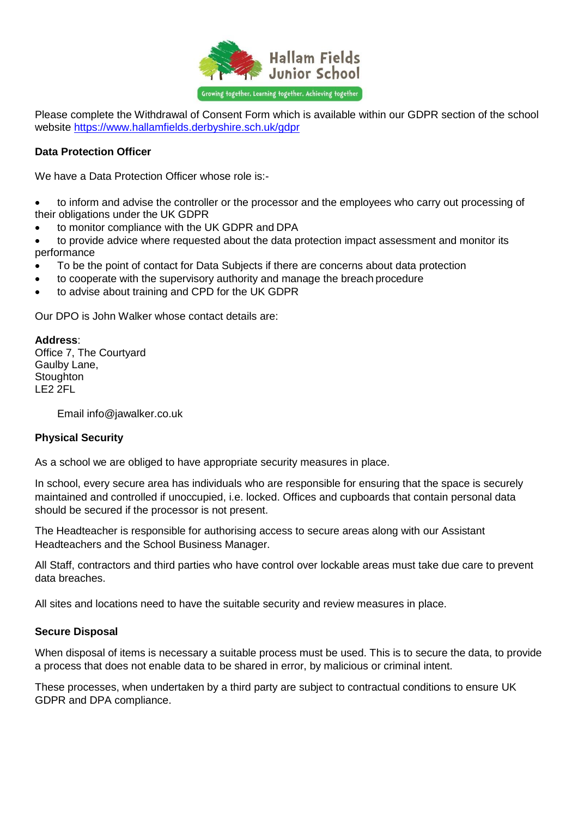

Please complete the Withdrawal of Consent Form which is available within our GDPR section of the school website<https://www.hallamfields.derbyshire.sch.uk/gdpr>

## **Data Protection Officer**

We have a Data Protection Officer whose role is:-

 to inform and advise the controller or the processor and the employees who carry out processing of their obligations under the UK GDPR

to monitor compliance with the UK GDPR and DPA

 to provide advice where requested about the data protection impact assessment and monitor its performance

- To be the point of contact for Data Subjects if there are concerns about data protection
- to cooperate with the supervisory authority and manage the breach procedure
- to advise about training and CPD for the UK GDPR

Our DPO is John Walker whose contact details are:

## **Address**:

Office 7, The Courtyard Gaulby Lane, **Stoughton** LE2 2FL

Email info@jawalker.co.uk

## **Physical Security**

As a school we are obliged to have appropriate security measures in place.

In school, every secure area has individuals who are responsible for ensuring that the space is securely maintained and controlled if unoccupied, i.e. locked. Offices and cupboards that contain personal data should be secured if the processor is not present.

The Headteacher is responsible for authorising access to secure areas along with our Assistant Headteachers and the School Business Manager.

All Staff, contractors and third parties who have control over lockable areas must take due care to prevent data breaches.

All sites and locations need to have the suitable security and review measures in place.

## **Secure Disposal**

When disposal of items is necessary a suitable process must be used. This is to secure the data, to provide a process that does not enable data to be shared in error, by malicious or criminal intent.

These processes, when undertaken by a third party are subject to contractual conditions to ensure UK GDPR and DPA compliance.